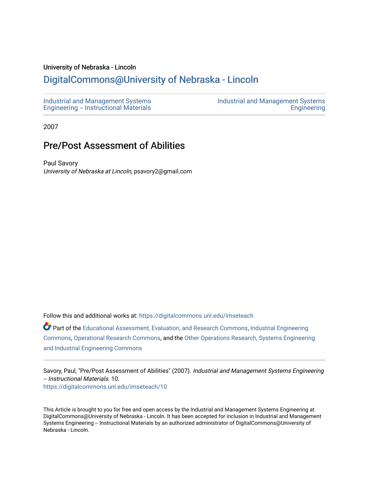## University of Nebraska - Lincoln

## [DigitalCommons@University of Nebraska - Lincoln](https://digitalcommons.unl.edu/)

[Industrial and Management Systems](https://digitalcommons.unl.edu/imseteach)  [Engineering -- Instructional Materials](https://digitalcommons.unl.edu/imseteach)  [Industrial and Management Systems](https://digitalcommons.unl.edu/imse)  **Engineering** 

2007

## Pre/Post Assessment of Abilities

Paul Savory University of Nebraska at Lincoln, psavory2@gmail.com

Follow this and additional works at: [https://digitalcommons.unl.edu/imseteach](https://digitalcommons.unl.edu/imseteach?utm_source=digitalcommons.unl.edu%2Fimseteach%2F10&utm_medium=PDF&utm_campaign=PDFCoverPages) 

Part of the [Educational Assessment, Evaluation, and Research Commons](http://network.bepress.com/hgg/discipline/796?utm_source=digitalcommons.unl.edu%2Fimseteach%2F10&utm_medium=PDF&utm_campaign=PDFCoverPages), [Industrial Engineering](http://network.bepress.com/hgg/discipline/307?utm_source=digitalcommons.unl.edu%2Fimseteach%2F10&utm_medium=PDF&utm_campaign=PDFCoverPages)  [Commons](http://network.bepress.com/hgg/discipline/307?utm_source=digitalcommons.unl.edu%2Fimseteach%2F10&utm_medium=PDF&utm_campaign=PDFCoverPages), [Operational Research Commons](http://network.bepress.com/hgg/discipline/308?utm_source=digitalcommons.unl.edu%2Fimseteach%2F10&utm_medium=PDF&utm_campaign=PDFCoverPages), and the [Other Operations Research, Systems Engineering](http://network.bepress.com/hgg/discipline/310?utm_source=digitalcommons.unl.edu%2Fimseteach%2F10&utm_medium=PDF&utm_campaign=PDFCoverPages)  [and Industrial Engineering Commons](http://network.bepress.com/hgg/discipline/310?utm_source=digitalcommons.unl.edu%2Fimseteach%2F10&utm_medium=PDF&utm_campaign=PDFCoverPages) 

Savory, Paul, "Pre/Post Assessment of Abilities" (2007). Industrial and Management Systems Engineering -- Instructional Materials. 10. [https://digitalcommons.unl.edu/imseteach/10](https://digitalcommons.unl.edu/imseteach/10?utm_source=digitalcommons.unl.edu%2Fimseteach%2F10&utm_medium=PDF&utm_campaign=PDFCoverPages)

This Article is brought to you for free and open access by the Industrial and Management Systems Engineering at DigitalCommons@University of Nebraska - Lincoln. It has been accepted for inclusion in Industrial and Management Systems Engineering -- Instructional Materials by an authorized administrator of DigitalCommons@University of Nebraska - Lincoln.